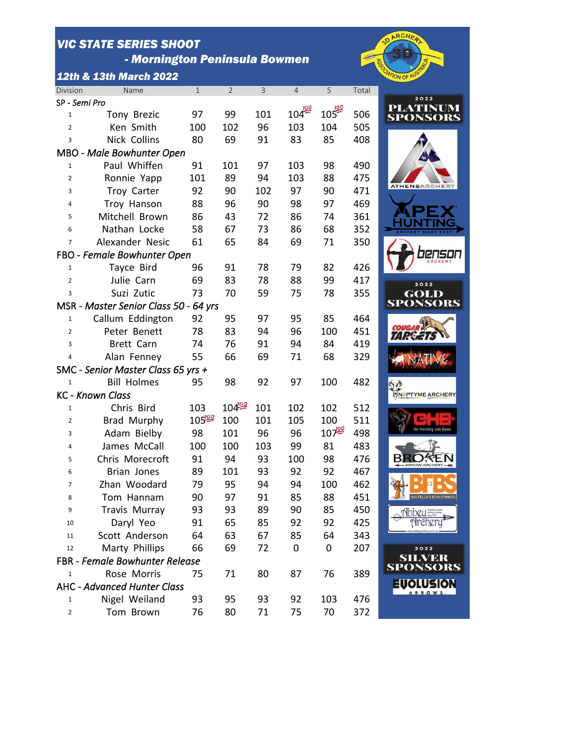## *VIC STATE SERIES SHOOT*

 *- Mornington Peninsula Bowmen*

*12th & 13th March 2022*

SP - *Semi Pro*



**LVER<br>DNSORS** 

| 3              | <b>Nick Collins</b>                   | 80         | 69         | 91  | 83               | 85        | 408 |                                  |
|----------------|---------------------------------------|------------|------------|-----|------------------|-----------|-----|----------------------------------|
|                | <b>MBO - Male Bowhunter Open</b>      |            |            |     |                  |           |     |                                  |
| $\mathbf{1}$   | Paul Whiffen                          | 91         | 101        | 97  | 103              | 98        | 490 |                                  |
| $\overline{2}$ | Ronnie Yapp                           | 101        | 89         | 94  | 103              | 88        | 475 |                                  |
| 3              | Troy Carter                           | 92         | 90         | 102 | 97               | 90        | 471 | <b>ATHENSARCHERY</b>             |
| 4              | Troy Hanson                           | 88         | 96         | 90  | 98               | 97        | 469 |                                  |
| 5              | Mitchell Brown                        | 86         | 43         | 72  | 86               | 74        | 361 |                                  |
| 6              | Nathan Locke                          | 58         | 67         | 73  | 86               | 68        | 352 |                                  |
| $\overline{7}$ | Alexander Nesic                       | 61         | 65         | 84  | 69               | 71        | 350 |                                  |
|                | FBO - Female Bowhunter Open           |            |            |     |                  |           |     |                                  |
| $\mathbf{1}$   | Tayce Bird                            | 96         | 91         | 78  | 79               | 82        | 426 |                                  |
| $\overline{2}$ | Julie Carn                            | 69         | 83         | 78  | 88               | 99        | 417 | 2022                             |
| 3              | Suzi Zutic                            | 73         | 70         | 59  | 75               | 78        | 355 | GOLD                             |
|                | MSR - Master Senior Class 50 - 64 yrs |            |            |     |                  |           |     | <b>SPONSORS</b>                  |
| $\mathbf 1$    | Callum Eddington                      | 92         | 95         | 97  | 95               | 85        | 464 |                                  |
| $\overline{2}$ | Peter Benett                          | 78         | 83         | 94  | 96               | 100       | 451 |                                  |
| 3              | Brett Carn                            | 74         | 76         | 91  | 94               | 84        | 419 |                                  |
| 4              | Alan Fenney                           | 55         | 66         | 69  | 71               | 68        | 329 |                                  |
|                | SMC - Senior Master Class 65 yrs +    |            |            |     |                  |           |     |                                  |
| $\mathbf 1$    | <b>Bill Holmes</b>                    | 95         | 98         | 92  | 97               | 100       | 482 |                                  |
|                | <b>KC - Known Class</b>               |            |            |     |                  |           |     | NOPTYME ARCHERY                  |
| $\mathbf{1}$   | Chris Bird                            | 103        | $104^{22}$ | 101 | 102              | 102       | 512 |                                  |
| $\overline{2}$ | Brad Murphy                           | $105^{22}$ | 100        | 101 | 105              | 100       | 511 |                                  |
| 3              | Adam Bielby                           | 98         | 101        | 96  | 96               | $10^{10}$ | 498 |                                  |
| 4              | James McCall                          | 100        | 100        | 103 | 99               | 81        | 483 |                                  |
| 5              | Chris Morecroft                       | 91         | 94         | 93  | 100              | 98        | 476 |                                  |
| 6              | <b>Brian Jones</b>                    | 89         | 101        | 93  | 92               | 92        | 467 |                                  |
| 7              | Zhan Woodard                          | 79         | 95         | 94  | 94               | 100       | 462 |                                  |
| 8              | Tom Hannam                            | 90         | 97         | 91  | 85               | 88        | 451 | <b>BIG FELLA'S BOW STRINGS</b>   |
| 9              | <b>Travis Murray</b>                  | 93         | 93         | 89  | 90               | 85        | 450 | <b>Abbey</b>                     |
| 10             | Daryl Yeo                             | 91         | 65         | 85  | 92               | 92        | 425 |                                  |
| 11             | Scott Anderson                        | 64         | 63         | 67  | 85               | 64        | 343 |                                  |
| 12             | Marty Phillips                        | 66         | 69         | 72  | $\boldsymbol{0}$ | 0         | 207 | 2022                             |
|                | <b>FBR - Female Bowhunter Release</b> |            |            |     |                  |           |     | <b>SILVER</b><br><b>SPONSORS</b> |
| 1              | Rose Morris                           | 75         | 71         | 80  | 87               | 76        | 389 |                                  |
|                | AHC - Advanced Hunter Class           |            |            |     |                  |           |     | <b>EUQLUSION</b><br>ARROWS.      |
| $\mathbf{1}$   | Nigel Weiland                         | 93         | 95         | 93  | 92               | 103       | 476 |                                  |
| 2              | Tom Brown                             | 76         | 80         | 71  | 75               | 70        | 372 |                                  |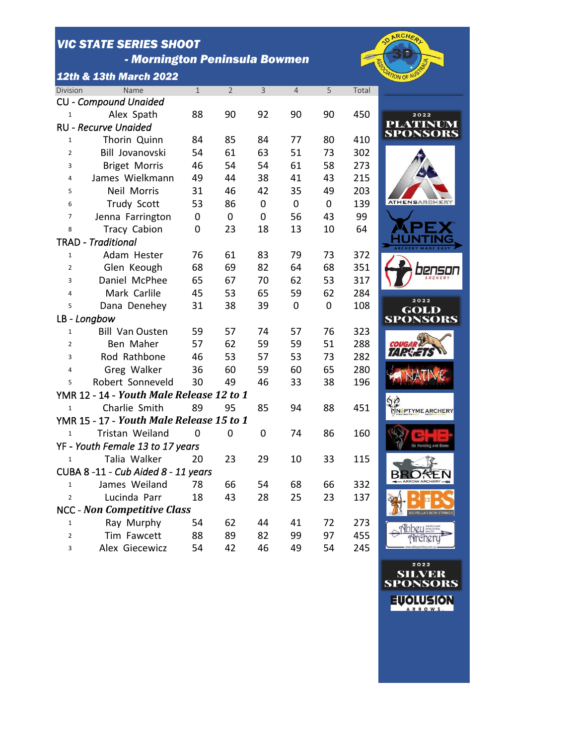## *VIC STATE SERIES SHOOT*

 *- Mornington Peninsula Bowmen*

*12th & 13th March 2022*



| Division       | Name                                     | $\mathbf{1}$ | $\overline{2}$          | 3           | $\overline{4}$ | 5           | Total |               |
|----------------|------------------------------------------|--------------|-------------------------|-------------|----------------|-------------|-------|---------------|
|                | <b>CU - Compound Unaided</b>             |              |                         |             |                |             |       |               |
| 1              | Alex Spath                               | 88           | 90                      | 92          | 90             | 90          | 450   |               |
|                | <b>RU - Recurve Unaided</b>              |              |                         |             |                |             |       | PLAT<br>SPON  |
| 1              | Thorin Quinn                             | 84           | 85                      | 84          | 77             | 80          | 410   |               |
| $\overline{2}$ | Bill Jovanovski                          | 54           | 61                      | 63          | 51             | 73          | 302   |               |
| 3              | <b>Briget Morris</b>                     | 46           | 54                      | 54          | 61             | 58          | 273   |               |
| 4              | James Wielkmann                          | 49           | 44                      | 38          | 41             | 43          | 215   |               |
| 5              | <b>Neil Morris</b>                       | 31           | 46                      | 42          | 35             | 49          | 203   |               |
| 6              | <b>Trudy Scott</b>                       | 53           | 86                      | 0           | $\overline{0}$ | $\mathbf 0$ | 139   | <b>ATHENS</b> |
| $\overline{7}$ | Jenna Farrington                         | $\mathbf 0$  | $\mathbf 0$             | $\mathbf 0$ | 56             | 43          | 99    |               |
| 8              | <b>Tracy Cabion</b>                      | $\mathbf 0$  | 23                      | 18          | 13             | 10          | 64    |               |
|                | <b>TRAD</b> - Traditional                |              |                         |             |                |             |       |               |
| $\mathbf{1}$   | Adam Hester                              | 76           | 61                      | 83          | 79             | 73          | 372   |               |
| $\overline{2}$ | Glen Keough                              | 68           | 69                      | 82          | 64             | 68          | 351   |               |
| 3              | Daniel McPhee                            | 65           | 67                      | 70          | 62             | 53          | 317   |               |
| $\overline{4}$ | Mark Carlile                             | 45           | 53                      | 65          | 59             | 62          | 284   |               |
| 5              | Dana Denehey                             | 31           | 38                      | 39          | $\mathbf 0$    | $\mathbf 0$ | 108   | GC            |
|                | LB - Longbow                             |              |                         |             |                |             |       | SPON          |
| 1              | <b>Bill Van Ousten</b>                   | 59           | 57                      | 74          | 57             | 76          | 323   |               |
| $\overline{2}$ | Ben Maher                                | 57           | 62                      | 59          | 59             | 51          | 288   |               |
| 3              | Rod Rathbone                             | 46           | 53                      | 57          | 53             | 73          | 282   |               |
| 4              | Greg Walker                              | 36           | 60                      | 59          | 60             | 65          | 280   |               |
| 5              | Robert Sonneveld                         | 30           | 49                      | 46          | 33             | 38          | 196   |               |
|                | YMR 12 - 14 - Youth Male Release 12 to 1 |              |                         |             |                |             |       |               |
| $\mathbf{1}$   | Charlie Smith                            | 89           | 95                      | 85          | 94             | 88          | 451   | <b>NÅPTYM</b> |
|                | YMR 15 - 17 - Youth Male Release 15 to 1 |              |                         |             |                |             |       |               |
|                | Tristan Weiland 0                        |              | $\overline{\mathbf{0}}$ | $\mathbf 0$ | 74             | 86          | 160   |               |
|                | YF - Youth Female 13 to 17 years         |              |                         |             |                |             |       |               |
| $\mathbf 1$    | Talia Walker                             | 20           | 23                      | 29          | 10             | 33          | 115   |               |
|                | CUBA 8-11 - Cub Aided 8 - 11 years       |              |                         |             |                |             |       |               |
| $\mathbf{1}$   | James Weiland                            | 78           | 66                      | 54          | 68             | 66          | 332   |               |
| $\overline{2}$ | Lucinda Parr                             | 18           | 43                      | 28          | 25             | 23          | 137   |               |
|                | <b>NCC - Non Competitive Class</b>       |              |                         |             |                |             |       |               |
| 1              | Ray Murphy                               | 54           | 62                      | 44          | 41             | 72          | 273   |               |
| $\overline{2}$ | Tim Fawcett                              | 88           | 89                      | 82          | 99             | 97          | 455   |               |
| 3              | Alex Giecewicz                           | 54           | 42                      | 46          | 49             | 54          | 245   |               |